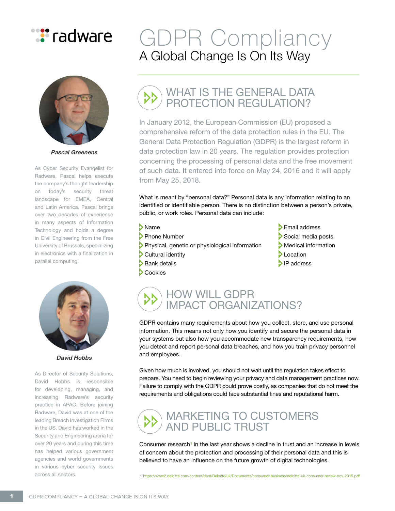



**Pascal Greenens**

As Cyber Security Evangelist for Radware, Pascal helps execute the company's thought leadership on today's security threat landscape for EMEA, Central and Latin America. Pascal brings over two decades of experience in many aspects of Information Technology and holds a degree in Civil Engineering from the Free University of Brussels, specializing in electronics with a finalization in parallel computing.



**David Hobbs**

As Director of Security Solutions, David Hobbs is responsible for developing, managing, and increasing Radware's security practice in APAC. Before joining Radware, David was at one of the leading Breach Investigation Firms in the US. David has worked in the Security and Engineering arena for over 20 years and during this time has helped various government agencies and world governments in various cyber security issues across all sectors.

## GDPR Compliancy A Global Change Is On Its Way

## WHAT IS THE GENERAL DATA PROTECTION REGULATION?

In January 2012, the European Commission (EU) proposed a comprehensive reform of the data protection rules in the EU. The General Data Protection Regulation (GDPR) is the largest reform in data protection law in 20 years. The regulation provides protection concerning the processing of personal data and the free movement of such data. It entered into force on May 24, 2016 and it will apply from May 25, 2018.

What is meant by "personal data?" Personal data is any information relating to an identified or identifiable person. There is no distinction between a person's private, public, or work roles. Personal data can include:

- 
- > Physical, genetic or physiological information > Medical i<br>> Cultural identity > Medical information > Location
- Cultural identity and the set of the control of the control of the control of the control of the control of the control of the control of the control of the control of the control of the control of the control of the contr
- $\blacktriangleright$  Bank details
- **Cookies**
- > Name Number Name Service Services Services Services Services Services Services Services Services Services Services Services Services Services Services Services Services Services Services Services Services Services Servic
	- Social media posts<br>Medical information
	-
	-
	-



GDPR contains many requirements about how you collect, store, and use personal information. This means not only how you identify and secure the personal data in your systems but also how you accommodate new transparency requirements, how you detect and report personal data breaches, and how you train privacy personnel and employees.

Given how much is involved, you should not wait until the regulation takes effect to prepare. You need to begin reviewing your privacy and data management practices now. Failure to comply with the GDPR could prove costly, as companies that do not meet the requirements and obligations could face substantial fines and reputational harm.



Consumer research<sup>1</sup> in the last year shows a decline in trust and an increase in levels of concern about the protection and processing of their personal data and this is believed to have an influence on the future growth of digital technologies.

1 [https://www2.deloitte.com/content/dam/Deloitte/uk/Documents/consumer-business/deloitte-uk-consumer-review-nov-2015.pdf](https://www2.deloitte.com/content/dam/Deloitte/uk/Documents/consumer-business/deloitte-uk-consumer-r)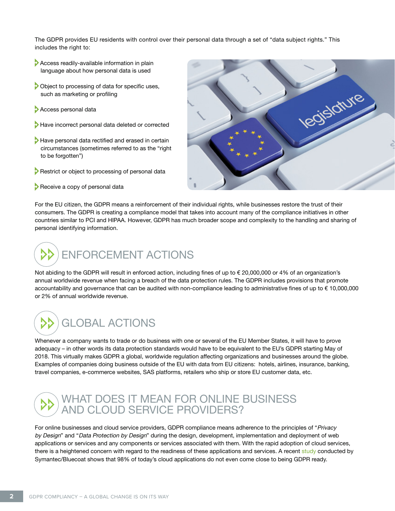The GDPR provides EU residents with control over their personal data through a set of "data subject rights." This includes the right to:

- Access readily-available information in plain language about how personal data is used
- Object to processing of data for specific uses, such as marketing or profiling
- Access personal data
- Have incorrect personal data deleted or corrected
- Have personal data rectified and erased in certain circumstances (sometimes referred to as the "right to be forgotten")
- **Restrict or object to processing of personal data**
- Receive a copy of personal data



For the EU citizen, the GDPR means a reinforcement of their individual rights, while businesses restore the trust of their consumers. The GDPR is creating a compliance model that takes into account many of the compliance initiatives in other countries similar to PCI and HIPAA. However, GDPR has much broader scope and complexity to the handling and sharing of personal identifying information.

# ENFORCEMENT ACTIONS

Not abiding to the GDPR will result in enforced action, including fines of up to € 20,000,000 or 4% of an organization's annual worldwide revenue when facing a breach of the data protection rules. The GDPR includes provisions that promote accountability and governance that can be audited with non-compliance leading to administrative fines of up to € 10,000,000 or 2% of annual worldwide revenue.

# GLOBAL ACTIONS

Whenever a company wants to trade or do business with one or several of the EU Member States, it will have to prove adequacy – in other words its data protection standards would have to be equivalent to the EU's GDPR starting May of 2018. This virtually makes GDPR a global, worldwide regulation affecting organizations and businesses around the globe. Examples of companies doing business outside of the EU with data from EU citizens: hotels, airlines, insurance, banking, travel companies, e-commerce websites, SAS platforms, retailers who ship or store EU customer data, etc.

## WHAT DOES IT MEAN FOR ONLINE BUSINESS AND CLOUD SERVICE PROVIDERS?

For online businesses and cloud service providers, GDPR compliance means adherence to the principles of "Privacy by Design" and "Data Protection by Design" during the design, development, implementation and deployment of web applications or services and any components or services associated with them. With the rapid adoption of cloud services, there is a heightened concern with regard to the readiness of these applications and services. A recent [study](http://dc.bluecoat.com/shadow-data-report-20161H/) conducted by Symantec/Bluecoat shows that 98% of today's cloud applications do not even come close to being GDPR ready.